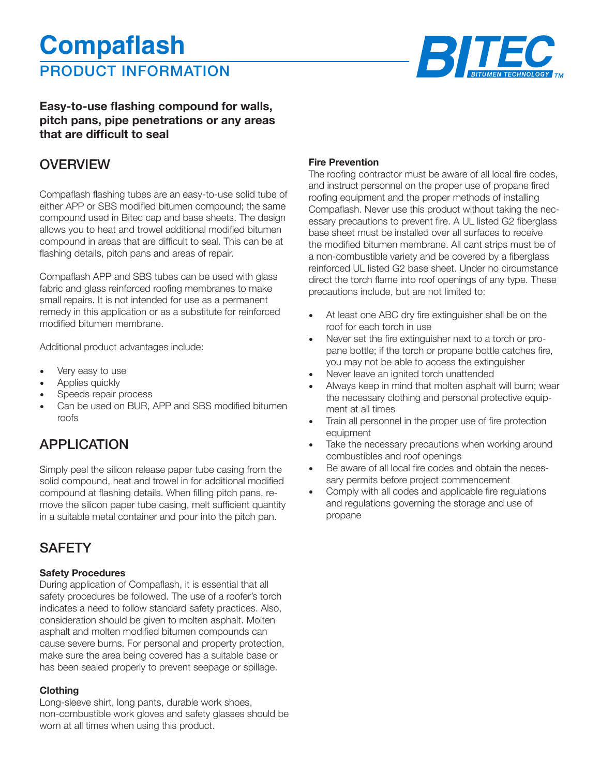# PRODUCT INFORMATION **Compaflash**



#### **Easy-to-use flashing compound for walls, pitch pans, pipe penetrations or any areas that are difficult to seal**

### **OVERVIEW**

Compaflash flashing tubes are an easy-to-use solid tube of either APP or SBS modified bitumen compound; the same compound used in Bitec cap and base sheets. The design allows you to heat and trowel additional modified bitumen compound in areas that are difficult to seal. This can be at flashing details, pitch pans and areas of repair.

Compaflash APP and SBS tubes can be used with glass fabric and glass reinforced roofing membranes to make small repairs. It is not intended for use as a permanent remedy in this application or as a substitute for reinforced modified bitumen membrane.

Additional product advantages include:

- Very easy to use
- Applies quickly
- Speeds repair process
- Can be used on BUR, APP and SBS modified bitumen roofs

### APPLICATION

Simply peel the silicon release paper tube casing from the solid compound, heat and trowel in for additional modified compound at flashing details. When filling pitch pans, remove the silicon paper tube casing, melt sufficient quantity in a suitable metal container and pour into the pitch pan.

### **SAFFTY**

#### **Safety Procedures**

During application of Compaflash, it is essential that all safety procedures be followed. The use of a roofer's torch indicates a need to follow standard safety practices. Also, consideration should be given to molten asphalt. Molten asphalt and molten modified bitumen compounds can cause severe burns. For personal and property protection, make sure the area being covered has a suitable base or has been sealed properly to prevent seepage or spillage.

#### **Clothing**

Long-sleeve shirt, long pants, durable work shoes, non-combustible work gloves and safety glasses should be worn at all times when using this product.

#### **Fire Prevention**

The roofing contractor must be aware of all local fire codes, and instruct personnel on the proper use of propane fired roofing equipment and the proper methods of installing Compaflash. Never use this product without taking the necessary precautions to prevent fire. A UL listed G2 fiberglass base sheet must be installed over all surfaces to receive the modified bitumen membrane. All cant strips must be of a non-combustible variety and be covered by a fiberglass reinforced UL listed G2 base sheet. Under no circumstance direct the torch flame into roof openings of any type. These precautions include, but are not limited to:

- At least one ABC dry fire extinguisher shall be on the roof for each torch in use
- Never set the fire extinguisher next to a torch or propane bottle; if the torch or propane bottle catches fire, you may not be able to access the extinguisher
- Never leave an ignited torch unattended
- Always keep in mind that molten asphalt will burn; wear the necessary clothing and personal protective equipment at all times
- Train all personnel in the proper use of fire protection equipment
- Take the necessary precautions when working around combustibles and roof openings
- Be aware of all local fire codes and obtain the necessary permits before project commencement
- Comply with all codes and applicable fire regulations and regulations governing the storage and use of propane